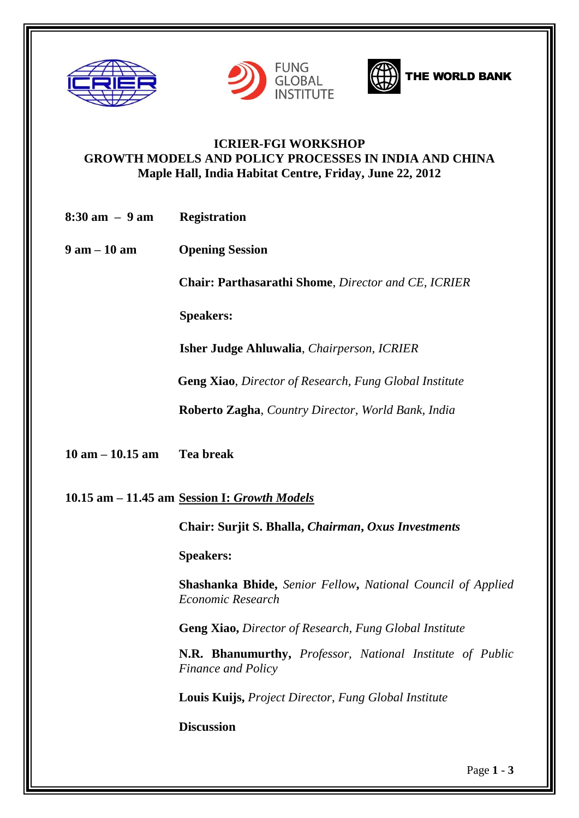







## **ICRIER-FGI WORKSHOP GROWTH MODELS AND POLICY PROCESSES IN INDIA AND CHINA Maple Hall, India Habitat Centre, Friday, June 22, 2012**

| $8:30 \text{ am } - 9 \text{ am}$ | Registration |
|-----------------------------------|--------------|
|                                   |              |

**9 am – 10 am Opening Session**

 **Chair: Parthasarathi Shome**, *Director and CE, ICRIER*

**Speakers:**

 **Isher Judge Ahluwalia**, *Chairperson, ICRIER*

 **Geng Xiao**, *Director of Research, Fung Global Institute*

**Roberto Zagha**, *Country Director, World Bank, India*

**10 am – 10.15 am Tea break**

**10.15 am – 11.45 am Session I:** *Growth Models*

**Chair: Surjit S. Bhalla,** *Chairman***,** *Oxus Investments*

 **Speakers:**

**Shashanka Bhide,** *Senior Fellow***,** *National Council of Applied Economic Research*

**Geng Xiao,** *Director of Research, Fung Global Institute*

**N.R. Bhanumurthy,** *Professor, National Institute of Public Finance and Policy*

**Louis Kuijs,** *Project Director, Fung Global Institute*

**Discussion**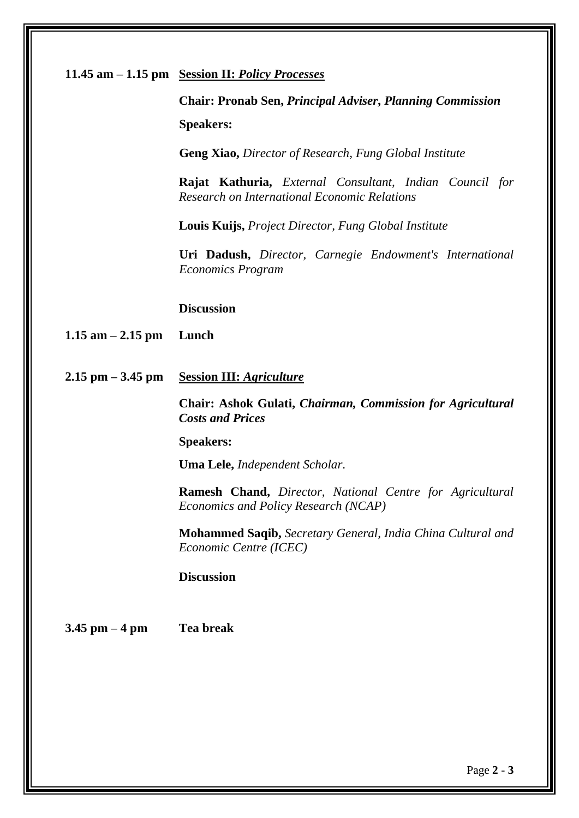| 11.45 am – 1.15 pm Session II: Policy Processes |  |  |
|-------------------------------------------------|--|--|
|                                                 |  |  |

**Chair: Pronab Sen,** *Principal Adviser***,** *Planning Commission* **Speakers:**

**Geng Xiao,** *Director of Research, Fung Global Institute*

**Rajat Kathuria,** *External Consultant, Indian Council for Research on International Economic Relations*

**Louis Kuijs,** *Project Director, Fung Global Institute*

**Uri Dadush,** *Director, Carnegie Endowment's International Economics Program* 

**Discussion**

**1.15 am – 2.15 pm Lunch**

**2.15 pm – 3.45 pm Session III:** *Agriculture*

**Chair: Ashok Gulati,** *Chairman, Commission for Agricultural Costs and Prices*

**Speakers:**

**Uma Lele,** *Independent Scholar*.

**Ramesh Chand,** *Director, National Centre for Agricultural Economics and Policy Research (NCAP)*

**Mohammed Saqib,** *Secretary General, India China Cultural and Economic Centre (ICEC)*

**Discussion** 

**3.45 pm – 4 pm Tea break**